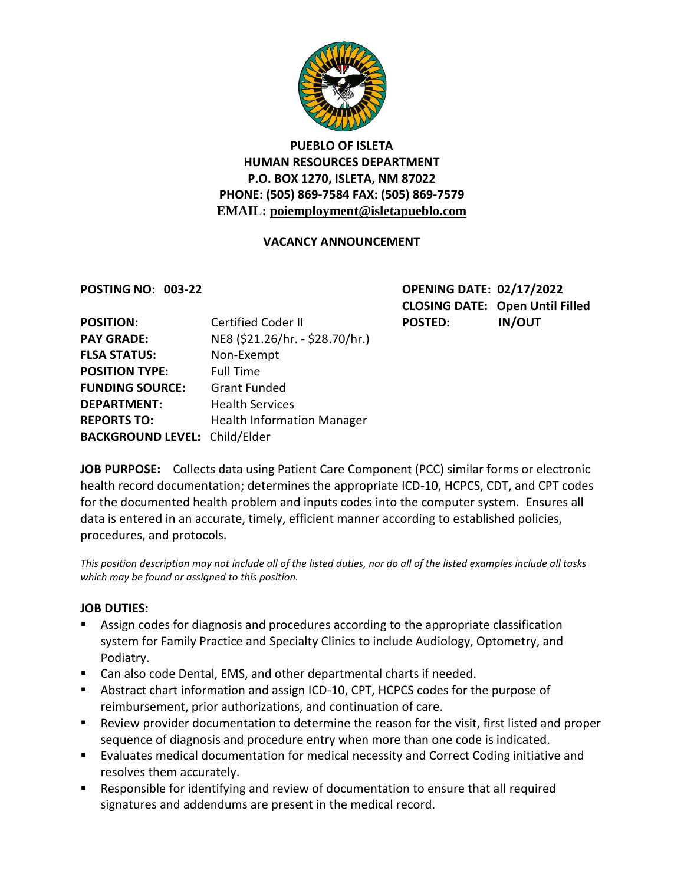

## **PUEBLO OF ISLETA HUMAN RESOURCES DEPARTMENT P.O. BOX 1270, ISLETA, NM 87022 PHONE: (505) 869-7584 FAX: (505) 869-7579 EMAIL: poiemployment@isletapueblo.com**

### **VACANCY ANNOUNCEMENT**

**POSTING NO: 003-22 OPENING DATE: 02/17/2022 CLOSING DATE: Open Until Filled** POSTED: IN/OUT

| <b>POSITION:</b>                     | <b>Certified Coder II</b>         |
|--------------------------------------|-----------------------------------|
| <b>PAY GRADE:</b>                    | NE8 (\$21.26/hr. - \$28.70/hr.)   |
| <b>FLSA STATUS:</b>                  | Non-Exempt                        |
| <b>POSITION TYPE:</b>                | <b>Full Time</b>                  |
| <b>FUNDING SOURCE:</b>               | <b>Grant Funded</b>               |
| <b>DEPARTMENT:</b>                   | <b>Health Services</b>            |
| <b>REPORTS TO:</b>                   | <b>Health Information Manager</b> |
| <b>BACKGROUND LEVEL: Child/Elder</b> |                                   |

**JOB PURPOSE:** Collects data using Patient Care Component (PCC) similar forms or electronic health record documentation; determines the appropriate ICD-10, HCPCS, CDT, and CPT codes for the documented health problem and inputs codes into the computer system. Ensures all data is entered in an accurate, timely, efficient manner according to established policies, procedures, and protocols.

*This position description may not include all of the listed duties, nor do all of the listed examples include all tasks which may be found or assigned to this position.*

### **JOB DUTIES:**

- Assign codes for diagnosis and procedures according to the appropriate classification system for Family Practice and Specialty Clinics to include Audiology, Optometry, and Podiatry.
- Can also code Dental, EMS, and other departmental charts if needed.
- Abstract chart information and assign ICD-10, CPT, HCPCS codes for the purpose of reimbursement, prior authorizations, and continuation of care.
- Review provider documentation to determine the reason for the visit, first listed and proper sequence of diagnosis and procedure entry when more than one code is indicated.
- Evaluates medical documentation for medical necessity and Correct Coding initiative and resolves them accurately.
- Responsible for identifying and review of documentation to ensure that all required signatures and addendums are present in the medical record.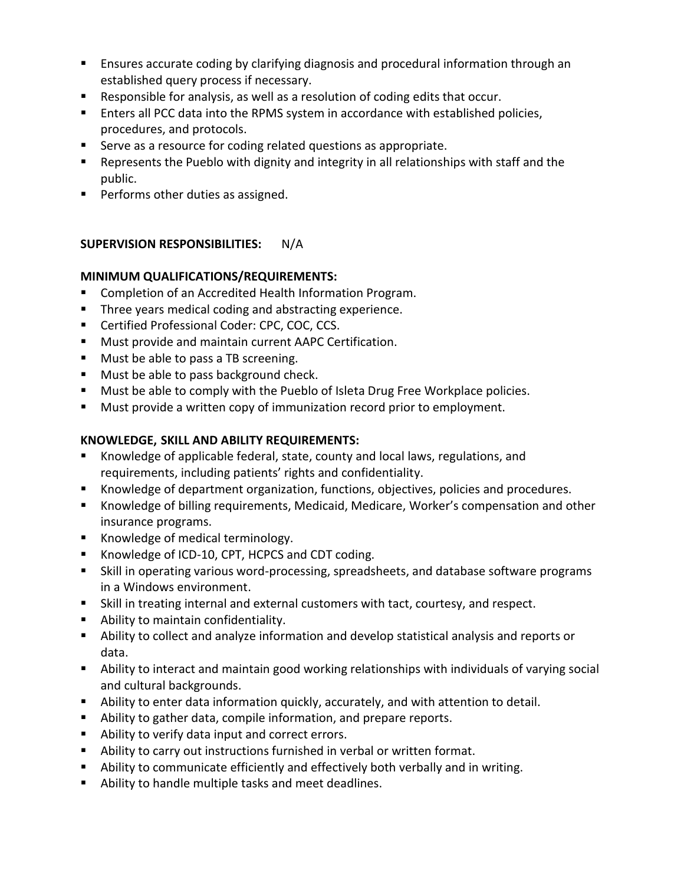- **E** Ensures accurate coding by clarifying diagnosis and procedural information through an established query process if necessary.
- Responsible for analysis, as well as a resolution of coding edits that occur.
- **Enters all PCC data into the RPMS system in accordance with established policies,** procedures, and protocols.
- Serve as a resource for coding related questions as appropriate.
- **EXE** Represents the Pueblo with dignity and integrity in all relationships with staff and the public.
- **Performs other duties as assigned.**

# **SUPERVISION RESPONSIBILITIES:** N/A

## **MINIMUM QUALIFICATIONS/REQUIREMENTS:**

- Completion of an Accredited Health Information Program.
- **Three years medical coding and abstracting experience.**
- **Certified Professional Coder: CPC, COC, CCS.**
- **Must provide and maintain current AAPC Certification.**
- **Must be able to pass a TB screening.**
- **Must be able to pass background check.**
- **Must be able to comply with the Pueblo of Isleta Drug Free Workplace policies.**
- Must provide a written copy of immunization record prior to employment.

# **KNOWLEDGE, SKILL AND ABILITY REQUIREMENTS:**

- Knowledge of applicable federal, state, county and local laws, regulations, and requirements, including patients' rights and confidentiality.
- Knowledge of department organization, functions, objectives, policies and procedures.
- Knowledge of billing requirements, Medicaid, Medicare, Worker's compensation and other insurance programs.
- Knowledge of medical terminology.
- Knowledge of ICD-10, CPT, HCPCS and CDT coding.
- Skill in operating various word-processing, spreadsheets, and database software programs in a Windows environment.
- Skill in treating internal and external customers with tact, courtesy, and respect.
- **Ability to maintain confidentiality.**
- Ability to collect and analyze information and develop statistical analysis and reports or data.
- Ability to interact and maintain good working relationships with individuals of varying social and cultural backgrounds.
- Ability to enter data information quickly, accurately, and with attention to detail.
- Ability to gather data, compile information, and prepare reports.
- Ability to verify data input and correct errors.
- Ability to carry out instructions furnished in verbal or written format.
- Ability to communicate efficiently and effectively both verbally and in writing.
- Ability to handle multiple tasks and meet deadlines.